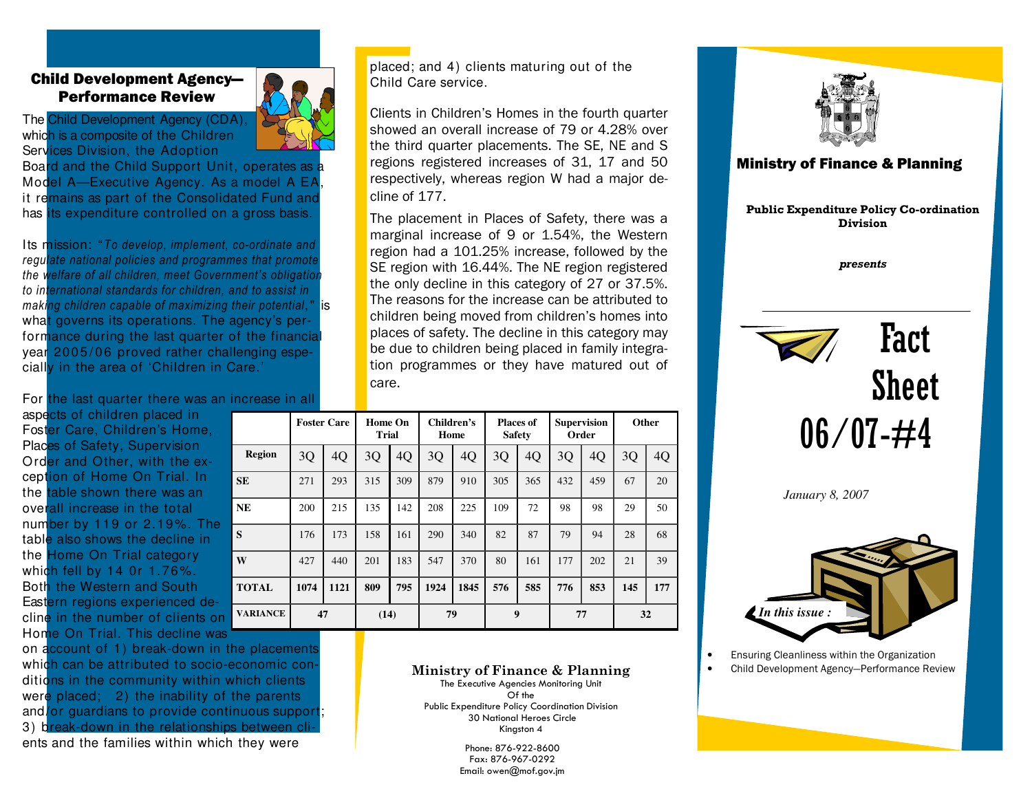## Child Development Agency—Performance Review

The Child Development Agency (CDA), which is a composite of the Children Services Division, the Adoption

Board and the Child Support Unit, operates as Model A—Executive Agency. As a model A EA it remains as part of the Consolidated Fund and has its expenditure controlled on a gross basis.

Its mission: "To develop, implement, co-ordinate and regulate national policies and programmes that promote the welfare of all children, meet Government's obligation to international standards for children, and to assist in making children capable of maximizing their potential," is what governs its operations. The agency's performance during the last quarter of the financial year 2005/06 proved rather challenging especially in the area of 'Children in Care.'

For the last quarter there was an increase in all

aspects of children placed in Foster Care, Children's Home, Places of Safety, Supervision Ord<mark>er and Other, with the ex-</mark> ception of Home On Trial. In the table shown there was an overall increase in the total number by 119 or 2.19%. The table also shows the decline in the Home On Trial category which fell by 14 0r 1.76%. Both the Western and South Eastern regions experienced decline in the number of clients on Home On Trial. This decline was

on account of 1) break-down in the placements which can be attributed to socio-economic conditions in the community within which clients were placed; 2) the inability of the parents and/or guardians to provide continuous support; 3) break-down in the relationships between clients and the families within which they were



placed; and 4) clients maturing out of the Child Care service.

Clients in Children's Homes in the fourth quarter showed an overall increase of 79 or 4.28% over the third quarter placements. The SE, NE and S regions registered increases of 31, 17 and 50 respectively, whereas region W had a major decline of 177.

The placement in Places of Safety, there was a marginal increase of 9 or 1.54%, the Western region had a 101.25% increase, followed by the SE region with 16.44%. The NE region registered the only decline in this category of 27 or 37.5%. The reasons for the increase can be attributed to children being moved from children's homes into places of safety. The decline in this category may be due to children being placed in family integration programmes or they have matured out of care.

|                 | <b>Foster Care</b> |      | <b>Home On</b><br><b>Trial</b> |     | Children's<br>Home |      | <b>Places of</b><br><b>Safety</b> |     | <b>Supervision</b><br>Order |     | Other |     |
|-----------------|--------------------|------|--------------------------------|-----|--------------------|------|-----------------------------------|-----|-----------------------------|-----|-------|-----|
| <b>Region</b>   | 3Q                 | 4Q   | 3Q                             | 4Q  | 3Q                 | 4Q   | 3Q                                | 4Q  | 3Q                          | 4Q  | 3Q    | 4Q  |
| SE.             | 271                | 293  | 315                            | 309 | 879                | 910  | 305                               | 365 | 432                         | 459 | 67    | 20  |
| NE              | 200                | 215  | 135                            | 142 | 208                | 225  | 109                               | 72  | 98                          | 98  | 29    | 50  |
| S               | 176                | 173  | 158                            | 161 | 290                | 340  | 82                                | 87  | 79                          | 94  | 28    | 68  |
| W               | 427                | 440  | 201                            | 183 | 547                | 370  | 80                                | 161 | 177                         | 202 | 21    | 39  |
| TOTAL           | 1074               | 1121 | 809                            | 795 | 1924               | 1845 | 576                               | 585 | 776                         | 853 | 145   | 177 |
| <b>VARIANCE</b> | 47                 |      | (14)                           |     | 79                 |      | 9                                 |     | 77                          |     | 32    |     |

## Ministry of Finance & Planning

The Executive Agencies Monitoring Unit Of the Public Expenditure Policy Coordination Division 30 National Heroes Circle Kingston 4

> Phone: 876-922-8600 Fax: 876-967-0292 Email: owen@mof.gov.jm





• Ensuring Cleanliness within the Organization

• Child Development Agency—Performance Review